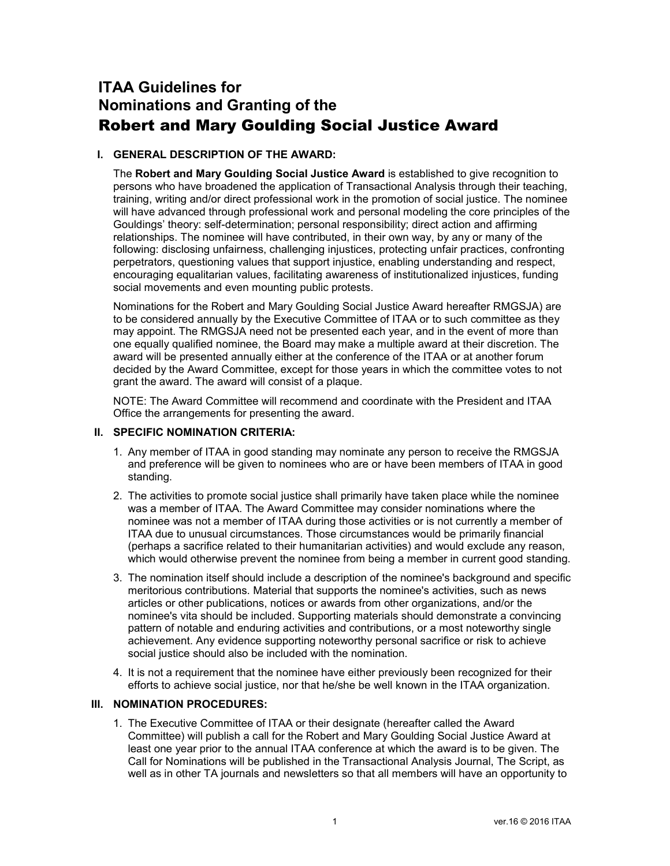## **ITAA Guidelines for Nominations and Granting of the** Robert and Mary Goulding Social Justice Award

## **I. GENERAL DESCRIPTION OF THE AWARD:**

The **Robert and Mary Goulding Social Justice Award** is established to give recognition to persons who have broadened the application of Transactional Analysis through their teaching, training, writing and/or direct professional work in the promotion of social justice. The nominee will have advanced through professional work and personal modeling the core principles of the Gouldings' theory: self-determination; personal responsibility; direct action and affirming relationships. The nominee will have contributed, in their own way, by any or many of the following: disclosing unfairness, challenging injustices, protecting unfair practices, confronting perpetrators, questioning values that support injustice, enabling understanding and respect, encouraging equalitarian values, facilitating awareness of institutionalized injustices, funding social movements and even mounting public protests.

Nominations for the Robert and Mary Goulding Social Justice Award hereafter RMGSJA) are to be considered annually by the Executive Committee of ITAA or to such committee as they may appoint. The RMGSJA need not be presented each year, and in the event of more than one equally qualified nominee, the Board may make a multiple award at their discretion. The award will be presented annually either at the conference of the ITAA or at another forum decided by the Award Committee, except for those years in which the committee votes to not grant the award. The award will consist of a plaque.

NOTE: The Award Committee will recommend and coordinate with the President and ITAA Office the arrangements for presenting the award.

## **II. SPECIFIC NOMINATION CRITERIA:**

- 1. Any member of ITAA in good standing may nominate any person to receive the RMGSJA and preference will be given to nominees who are or have been members of ITAA in good standing.
- 2. The activities to promote social justice shall primarily have taken place while the nominee was a member of ITAA. The Award Committee may consider nominations where the nominee was not a member of ITAA during those activities or is not currently a member of ITAA due to unusual circumstances. Those circumstances would be primarily financial (perhaps a sacrifice related to their humanitarian activities) and would exclude any reason, which would otherwise prevent the nominee from being a member in current good standing.
- 3. The nomination itself should include a description of the nominee's background and specific meritorious contributions. Material that supports the nominee's activities, such as news articles or other publications, notices or awards from other organizations, and/or the nominee's vita should be included. Supporting materials should demonstrate a convincing pattern of notable and enduring activities and contributions, or a most noteworthy single achievement. Any evidence supporting noteworthy personal sacrifice or risk to achieve social justice should also be included with the nomination.
- 4. It is not a requirement that the nominee have either previously been recognized for their efforts to achieve social justice, nor that he/she be well known in the ITAA organization.

## **III. NOMINATION PROCEDURES:**

1. The Executive Committee of ITAA or their designate (hereafter called the Award Committee) will publish a call for the Robert and Mary Goulding Social Justice Award at least one year prior to the annual ITAA conference at which the award is to be given. The Call for Nominations will be published in the Transactional Analysis Journal, The Script, as well as in other TA journals and newsletters so that all members will have an opportunity to